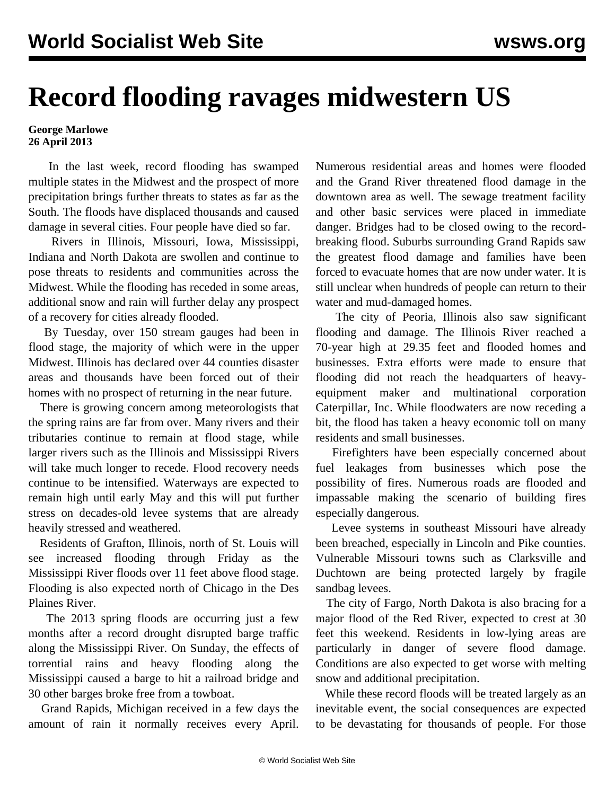## **Record flooding ravages midwestern US**

## **George Marlowe 26 April 2013**

 In the last week, record flooding has swamped multiple states in the Midwest and the prospect of more precipitation brings further threats to states as far as the South. The floods have displaced thousands and caused damage in several cities. Four people have died so far.

 Rivers in Illinois, Missouri, Iowa, Mississippi, Indiana and North Dakota are swollen and continue to pose threats to residents and communities across the Midwest. While the flooding has receded in some areas, additional snow and rain will further delay any prospect of a recovery for cities already flooded.

 By Tuesday, over 150 stream gauges had been in flood stage, the majority of which were in the upper Midwest. Illinois has declared over 44 counties disaster areas and thousands have been forced out of their homes with no prospect of returning in the near future.

 There is growing concern among meteorologists that the spring rains are far from over. Many rivers and their tributaries continue to remain at flood stage, while larger rivers such as the Illinois and Mississippi Rivers will take much longer to recede. Flood recovery needs continue to be intensified. Waterways are expected to remain high until early May and this will put further stress on decades-old levee systems that are already heavily stressed and weathered.

 Residents of Grafton, Illinois, north of St. Louis will see increased flooding through Friday as the Mississippi River floods over 11 feet above flood stage. Flooding is also expected north of Chicago in the Des Plaines River.

 The 2013 spring floods are occurring just a few months after a record drought disrupted barge traffic along the Mississippi River. On Sunday, the effects of torrential rains and heavy flooding along the Mississippi caused a barge to hit a railroad bridge and 30 other barges broke free from a towboat.

 Grand Rapids, Michigan received in a few days the amount of rain it normally receives every April.

Numerous residential areas and homes were flooded and the Grand River threatened flood damage in the downtown area as well. The sewage treatment facility and other basic services were placed in immediate danger. Bridges had to be closed owing to the recordbreaking flood. Suburbs surrounding Grand Rapids saw the greatest flood damage and families have been forced to evacuate homes that are now under water. It is still unclear when hundreds of people can return to their water and mud-damaged homes.

 The city of Peoria, Illinois also saw significant flooding and damage. The Illinois River reached a 70-year high at 29.35 feet and flooded homes and businesses. Extra efforts were made to ensure that flooding did not reach the headquarters of heavyequipment maker and multinational corporation Caterpillar, Inc. While floodwaters are now receding a bit, the flood has taken a heavy economic toll on many residents and small businesses.

 Firefighters have been especially concerned about fuel leakages from businesses which pose the possibility of fires. Numerous roads are flooded and impassable making the scenario of building fires especially dangerous.

 Levee systems in southeast Missouri have already been breached, especially in Lincoln and Pike counties. Vulnerable Missouri towns such as Clarksville and Duchtown are being protected largely by fragile sandbag levees.

 The city of Fargo, North Dakota is also bracing for a major flood of the Red River, expected to crest at 30 feet this weekend. Residents in low-lying areas are particularly in danger of severe flood damage. Conditions are also expected to get worse with melting snow and additional precipitation.

 While these record floods will be treated largely as an inevitable event, the social consequences are expected to be devastating for thousands of people. For those